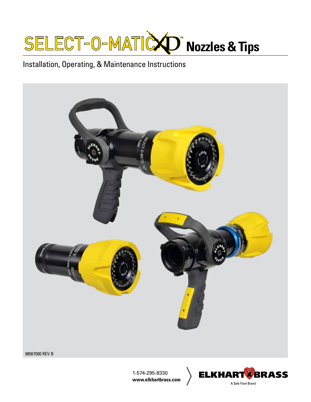

# Installation, Operating, & Maintenance Instructions



98567000 REV B

1-574-295-8330 **www.elkhartbrass.com**

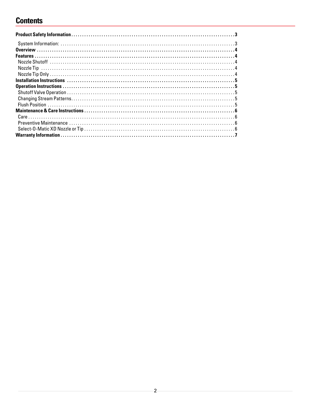# **Contents**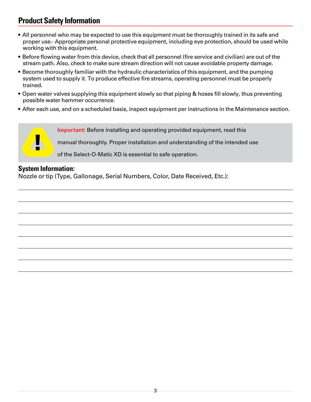# <span id="page-2-0"></span>**Product Safety Information**

- All personnel who may be expected to use this equipment must be thoroughly trained in its safe and proper use.· Appropriate personal protective equipment, including eye protection, should be used while working with this equipment.
- Before flowing water from this device, check that all personnel (fire service and civilian) are out of the stream path. Also, check to make sure stream direction will not cause avoidable property damage.
- Become thoroughly familiar with the hydraulic characteristics of this equipment, and the pumping system used to supply it. To produce effective fire streams, operating personnel must be properly trained.
- Open water valves supplying this equipment slowly so that piping & hoses fill slowly, thus preventing possible water hammer occurrence.
- After each use, and on a scheduled basis, inspect equipment per instructions in the Maintenance section.

**Important**: Before installing and operating provided equipment, read this

manual thoroughly. Proper installation and understanding of the intended use

of the Select-O-Matic XD is essential to safe operation.

#### **System Information:**

**A** 

Nozzle or tip (Type, Gallonage, Serial Numbers, Color, Date Received, Etc.):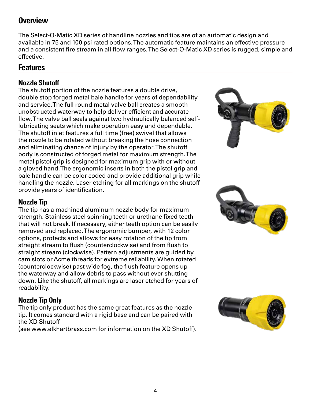# <span id="page-3-0"></span>**Overview**

The Select-O-Matic XD series of handline nozzles and tips are of an automatic design and available in 75 and 100 psi rated options. The automatic feature maintains an effective pressure and a consistent fire stream in all flow ranges. The Select-O-Matic XD series is rugged, simple and effective.

### **Features**

### **Nozzle Shutoff**

The shutoff portion of the nozzle features a double drive, double stop forged metal bale handle for years of dependability and service. The full round metal valve ball creates a smooth unobstructed waterway to help deliver efficient and accurate flow. The valve ball seals against two hydraulically balanced selflubricating seats which make operation easy and dependable. The shutoff inlet features a full time (free) swivel that allows the nozzle to be rotated without breaking the hose connection and eliminating chance of injury by the operator. The shutoff body is constructed of forged metal for maximum strength. The metal pistol grip is designed for maximum grip with or without a gloved hand. The ergonomic inserts in both the pistol grip and bale handle can be color coded and provide additional grip while handling the nozzle. Laser etching for all markings on the shutoff provide years of identification.

### **Nozzle Tip**

The tip has a machined aluminum nozzle body for maximum strength. Stainless steel spinning teeth or urethane fixed teeth that will not break. If necessary, either teeth option can be easily removed and replaced. The ergonomic bumper, with 12 color options, protects and allows for easy rotation of the tip from straight stream to flush (counterclockwise) and from flush to straight stream (clockwise). Pattern adjustments are guided by cam slots or Acme threads for extreme reliability. When rotated (counterclockwise) past wide fog, the flush feature opens up the waterway and allow debris to pass without ever shutting down. Like the shutoff, all markings are laser etched for years of readability.

### **Nozzle Tip Only**

The tip only product has the same great features as the nozzle tip. It comes standard with a rigid base and can be paired with the XD Shutoff

(see www.elkhartbrass.com for information on the XD Shutoff).





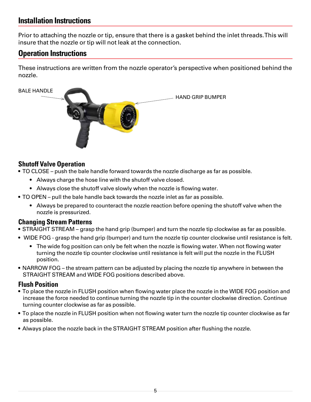## <span id="page-4-0"></span>**Installation Instructions**

Prior to attaching the nozzle or tip, ensure that there is a gasket behind the inlet threads. This will insure that the nozzle or tip will not leak at the connection.

# **Operation Instructions**

These instructions are written from the nozzle operator's perspective when positioned behind the nozzle.



### **Shutoff Valve Operation**

- TO CLOSE push the bale handle forward towards the nozzle discharge as far as possible.
	- Always charge the hose line with the shutoff valve closed.
	- Always close the shutoff valve slowly when the nozzle is flowing water.
- TO OPEN pull the bale handle back towards the nozzle inlet as far as possible.
	- Always be prepared to counteract the nozzle reaction before opening the shutoff valve when the nozzle is pressurized.

#### **Changing Stream Patterns**

- STRAIGHT STREAM grasp the hand grip (bumper) and turn the nozzle tip clockwise as far as possible.
- WIDE FOG grasp the hand grip (bumper) and turn the nozzle tip counter clockwise until resistance is felt.
	- The wide fog position can only be felt when the nozzle is flowing water. When not flowing water turning the nozzle tip counter clockwise until resistance is felt will put the nozzle in the FLUSH position.
- NARROW FOG the stream pattern can be adjusted by placing the nozzle tip anywhere in between the STRAIGHT STREAM and WIDE FOG positions described above.

#### **Flush Position**

- To place the nozzle in FLUSH position when flowing water place the nozzle in the WIDE FOG position and increase the force needed to continue turning the nozzle tip in the counter clockwise direction. Continue turning counter clockwise as far as possible.
- To place the nozzle in FLUSH position when not flowing water turn the nozzle tip counter clockwise as far as possible.
- Always place the nozzle back in the STRAIGHT STREAM position after flushing the nozzle.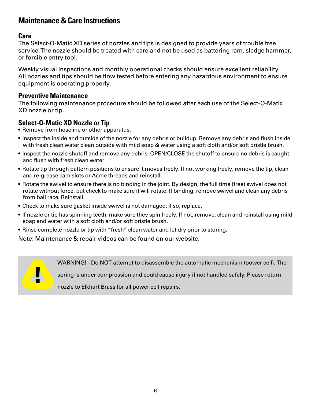## <span id="page-5-0"></span>**Maintenance & Care Instructions**

#### **Care**

The Select-O-Matic XD series of nozzles and tips is designed to provide years of trouble free service. The nozzle should be treated with care and not be used as battering ram, sledge hammer, or forcible entry tool.

Weekly visual inspections and monthly operational checks should ensure excellent reliability. All nozzles and tips should be flow tested before entering any hazardous environment to ensure equipment is operating properly.

#### **Preventive Maintenance**

**A** 

The following maintenance procedure should be followed after each use of the Select-O-Matic XD nozzle or tip.

#### **Select-O-Matic XD Nozzle or Tip**

- Remove from hoseline or other apparatus.
- Inspect the inside and outside of the nozzle for any debris or buildup. Remove any debris and flush inside with fresh clean water clean outside with mild soap & water using a soft cloth and/or soft bristle brush.
- Inspect the nozzle shutoff and remove any debris. OPEN/CLOSE the shutoff to ensure no debris is caught and flush with fresh clean water.
- Rotate tip through pattern positions to ensure it moves freely. If not working freely, remove the tip, clean and re-grease cam slots or Acme threads and reinstall.
- Rotate the swivel to ensure there is no binding in the joint. By design, the full time (free) swivel does not rotate without force, but check to make sure it will rotate. If binding, remove swivel and clean any debris from ball race. Reinstall.
- Check to make sure gasket inside swivel is not damaged. If so, replace.
- If nozzle or tip has spinning teeth, make sure they spin freely. If not, remove, clean and reinstall using mild soap and water with a soft cloth and/or soft bristle brush.
- Rinse complete nozzle or tip with "fresh" clean water and let dry prior to storing.

Note: Maintenance & repair videos can be found on our website.

WARNING! - Do NOT attempt to disassemble the automatic mechanism (power cell). The

spring is under compression and could cause injury if not handled safely. Please return

nozzle to Elkhart Brass for all power cell repairs.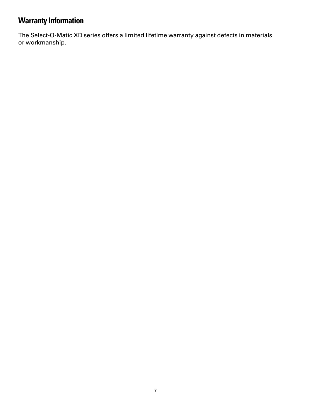# <span id="page-6-0"></span>**Warranty Information**

The Select-O-Matic XD series offers a limited lifetime warranty against defects in materials or workmanship.